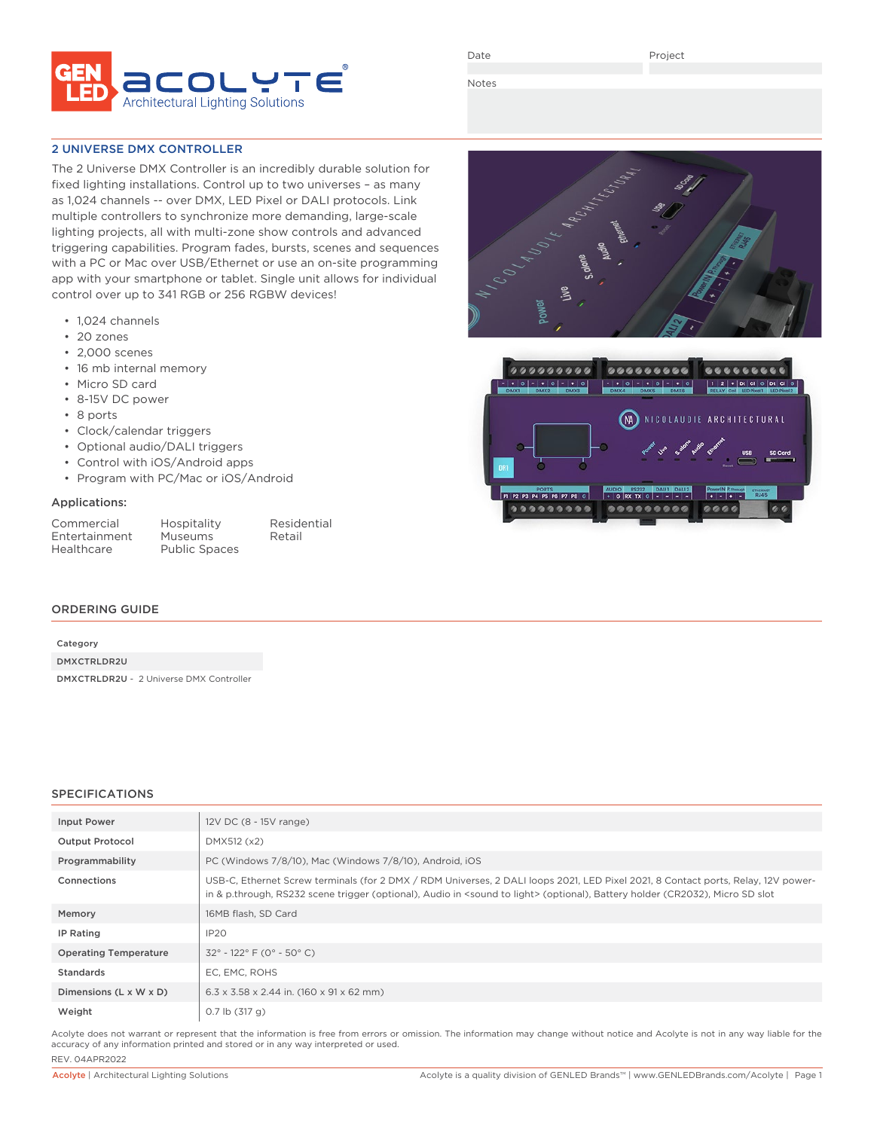

Date

Project

Notes

### 2 UNIVERSE DMX CONTROLLER

The 2 Universe DMX Controller is an incredibly durable solution for fixed lighting installations. Control up to two universes – as many as 1,024 channels -- over DMX, LED Pixel or DALI protocols. Link multiple controllers to synchronize more demanding, large-scale lighting projects, all with multi-zone show controls and advanced triggering capabilities. Program fades, bursts, scenes and sequences with a PC or Mac over USB/Ethernet or use an on-site programming app with your smartphone or tablet. Single unit allows for individual control over up to 341 RGB or 256 RGBW devices!

- 1,024 channels
- 20 zones
- 2,000 scenes
- 16 mb internal memory
- Micro SD card
- 8-15V DC power
- 8 ports
- Clock/calendar triggers
- Optional audio/DALI triggers
- Control with iOS/Android apps
- Program with PC/Mac or iOS/Android

#### Applications:

| Commercial    |
|---------------|
| Entertainment |
| Healthcare    |

Hospitality Residential<br>
Museums Retail **Museums** Public Spaces

#### ORDERING GUIDE

| Category                                       |  |  |
|------------------------------------------------|--|--|
| DMXCTRLDR2U                                    |  |  |
| <b>DMXCTRLDR2U - 2 Universe DMX Controller</b> |  |  |

#### SPECIFICATIONS

| Input Power                  | 12V DC (8 - 15V range)                                                                                                                                                                                                                                                          |
|------------------------------|---------------------------------------------------------------------------------------------------------------------------------------------------------------------------------------------------------------------------------------------------------------------------------|
| <b>Output Protocol</b>       | DMX512 (x2)                                                                                                                                                                                                                                                                     |
| Programmability              | PC (Windows 7/8/10), Mac (Windows 7/8/10), Android, iOS                                                                                                                                                                                                                         |
| Connections                  | USB-C, Ethernet Screw terminals (for 2 DMX / RDM Universes, 2 DALI loops 2021, LED Pixel 2021, 8 Contact ports, Relay, 12V power-<br>in & p.through, RS232 scene trigger (optional), Audio in <sound light="" to=""> (optional), Battery holder (CR2032), Micro SD slot</sound> |
| Memory                       | 16MB flash. SD Card                                                                                                                                                                                                                                                             |
| IP Rating                    | IP20                                                                                                                                                                                                                                                                            |
| <b>Operating Temperature</b> | $32^{\circ}$ - 122 $^{\circ}$ F (0 $^{\circ}$ - 50 $^{\circ}$ C)                                                                                                                                                                                                                |
| Standards                    | EC, EMC, ROHS                                                                                                                                                                                                                                                                   |
| Dimensions (L x W x D)       | $6.3 \times 3.58 \times 2.44$ in. (160 x 91 x 62 mm)                                                                                                                                                                                                                            |
| Weight                       | $0.7$ lb $(317)$ g)                                                                                                                                                                                                                                                             |

Acolyte does not warrant or represent that the information is free from errors or omission. The information may change without notice and Acolyte is not in any way liable for the accuracy of any information printed and stored or in any way interpreted or used. REV. 04APR2022



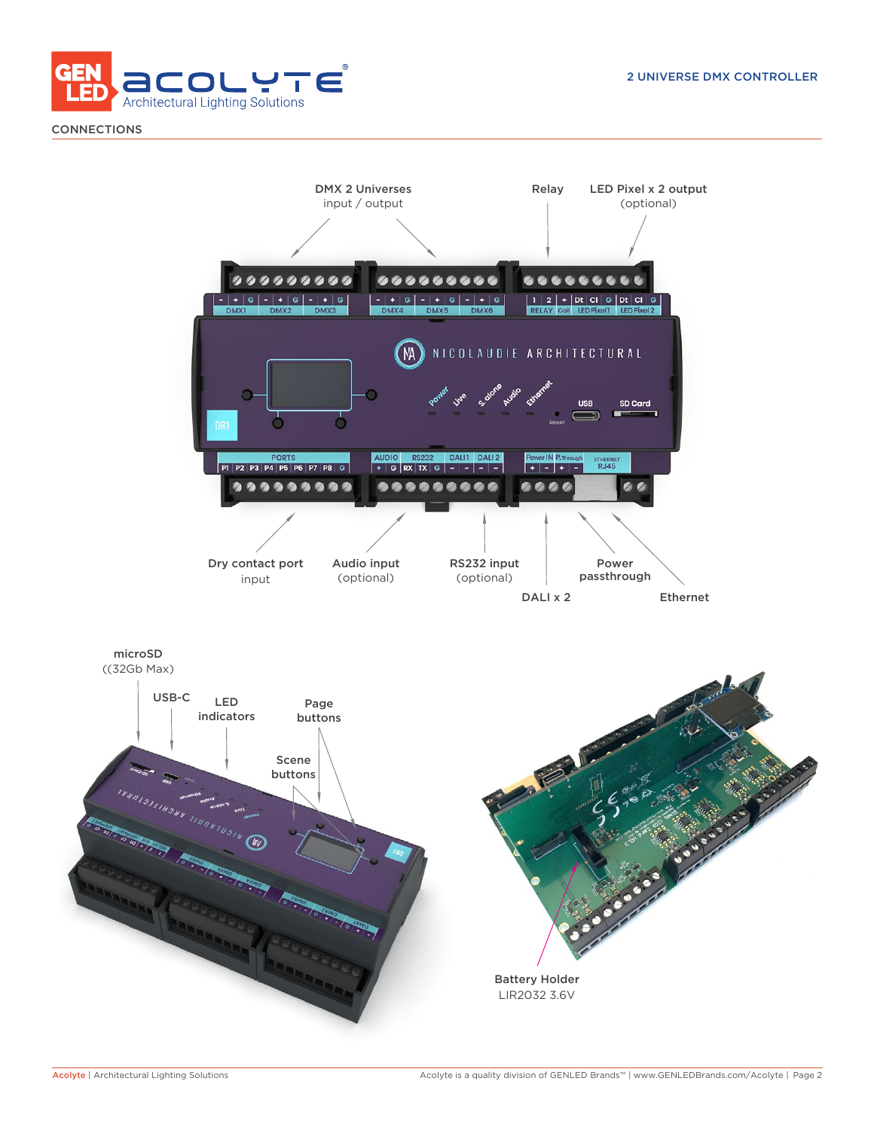

**CONNECTIONS** 

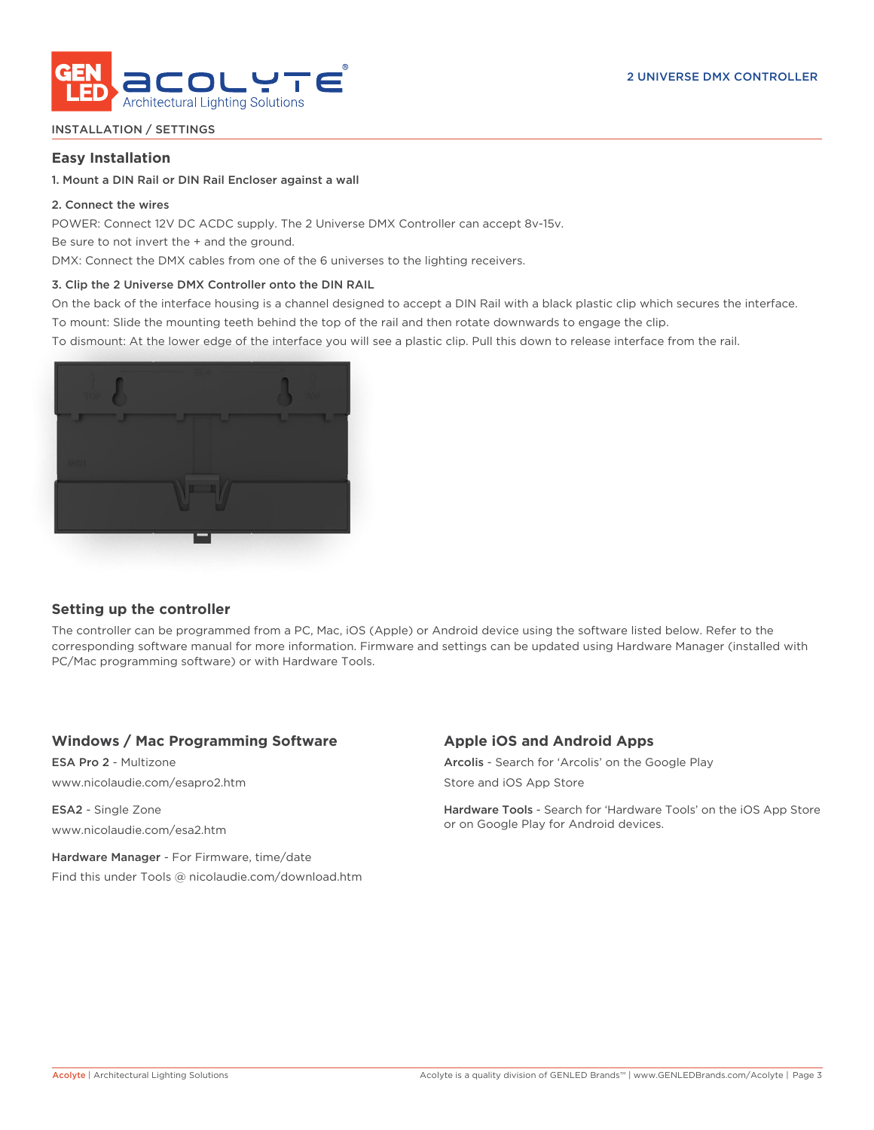

## INSTALLATION / SETTINGS

## **Easy Installation**

### 1. Mount a DIN Rail or DIN Rail Encloser against a wall

## 2. Connect the wires

POWER: Connect 12V DC ACDC supply. The 2 Universe DMX Controller can accept 8v-15v.

Be sure to not invert the + and the ground.

DMX: Connect the DMX cables from one of the 6 universes to the lighting receivers.

## 3. Clip the 2 Universe DMX Controller onto the DIN RAIL

On the back of the interface housing is a channel designed to accept a DIN Rail with a black plastic clip which secures the interface. To mount: Slide the mounting teeth behind the top of the rail and then rotate downwards to engage the clip.

To dismount: At the lower edge of the interface you will see a plastic clip. Pull this down to release interface from the rail.



# **Setting up the controller**

The controller can be programmed from a PC, Mac, iOS (Apple) or Android device using the software listed below. Refer to the corresponding software manual for more information. Firmware and settings can be updated using Hardware Manager (installed with PC/Mac programming software) or with Hardware Tools.

# **Windows / Mac Programming Software**

ESA Pro 2 - Multizone www.nicolaudie.com/esapro2.htm

ESA2 - Single Zone www.nicolaudie.com/esa2.htm

Hardware Manager - For Firmware, time/date Find this under Tools @ nicolaudie.com/download.htm

# **Apple iOS and Android Apps**

Arcolis - Search for 'Arcolis' on the Google Play Store and iOS App Store

Hardware Tools - Search for 'Hardware Tools' on the iOS App Store or on Google Play for Android devices.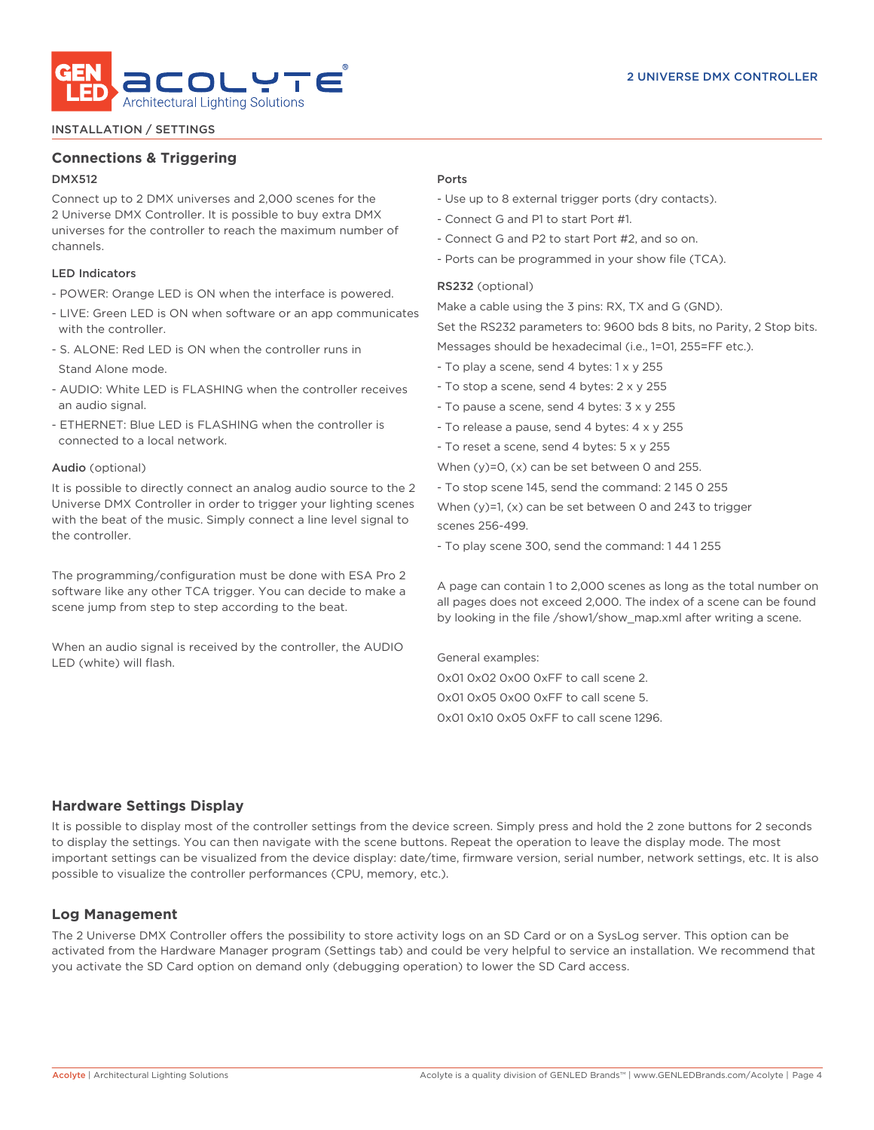

#### INSTALLATION / SETTINGS

# **Connections & Triggering**

# DMX512

Connect up to 2 DMX universes and 2,000 scenes for the 2 Universe DMX Controller. It is possible to buy extra DMX universes for the controller to reach the maximum number of channels.

## LED Indicators

- POWER: Orange LED is ON when the interface is powered.
- LIVE: Green LED is ON when software or an app communicates with the controller.
- S. ALONE: Red LED is ON when the controller runs in Stand Alone mode.
- AUDIO: White LED is FLASHING when the controller receives an audio signal.
- ETHERNET: Blue LED is FLASHING when the controller is connected to a local network.

#### Audio (optional)

It is possible to directly connect an analog audio source to the 2 Universe DMX Controller in order to trigger your lighting scenes with the beat of the music. Simply connect a line level signal to the controller.

The programming/configuration must be done with ESA Pro 2 software like any other TCA trigger. You can decide to make a scene jump from step to step according to the beat.

When an audio signal is received by the controller, the AUDIO LED (white) will flash.

#### Ports

- Use up to 8 external trigger ports (dry contacts).
- Connect G and P1 to start Port #1.
- Connect G and P2 to start Port #2, and so on.
- Ports can be programmed in your show file (TCA).

#### RS232 (optional)

Make a cable using the 3 pins: RX, TX and G (GND). Set the RS232 parameters to: 9600 bds 8 bits, no Parity, 2 Stop bits. Messages should be hexadecimal (i.e., 1=01, 255=FF etc.).

- To play a scene, send 4 bytes: 1 x y 255
- To stop a scene, send 4 bytes: 2 x y 255
- To pause a scene, send 4 bytes: 3 x y 255
- To release a pause, send 4 bytes: 4 x y 255
- To reset a scene, send 4 bytes: 5 x y 255
- When (y)=0, (x) can be set between 0 and 255.
- To stop scene 145, send the command: 2 145 0 255

When (y)=1, (x) can be set between 0 and 243 to trigger scenes 256-499.

- To play scene 300, send the command: 1 44 1 255

A page can contain 1 to 2,000 scenes as long as the total number on all pages does not exceed 2,000. The index of a scene can be found by looking in the file /show1/show\_map.xml after writing a scene.

General examples: 0x01 0x02 0x00 0xFF to call scene 2. 0x01 0x05 0x00 0xFF to call scene 5. 0x01 0x10 0x05 0xFF to call scene 1296.

### **Hardware Settings Display**

It is possible to display most of the controller settings from the device screen. Simply press and hold the 2 zone buttons for 2 seconds to display the settings. You can then navigate with the scene buttons. Repeat the operation to leave the display mode. The most important settings can be visualized from the device display: date/time, firmware version, serial number, network settings, etc. It is also possible to visualize the controller performances (CPU, memory, etc.).

# **Log Management**

The 2 Universe DMX Controller offers the possibility to store activity logs on an SD Card or on a SysLog server. This option can be activated from the Hardware Manager program (Settings tab) and could be very helpful to service an installation. We recommend that you activate the SD Card option on demand only (debugging operation) to lower the SD Card access.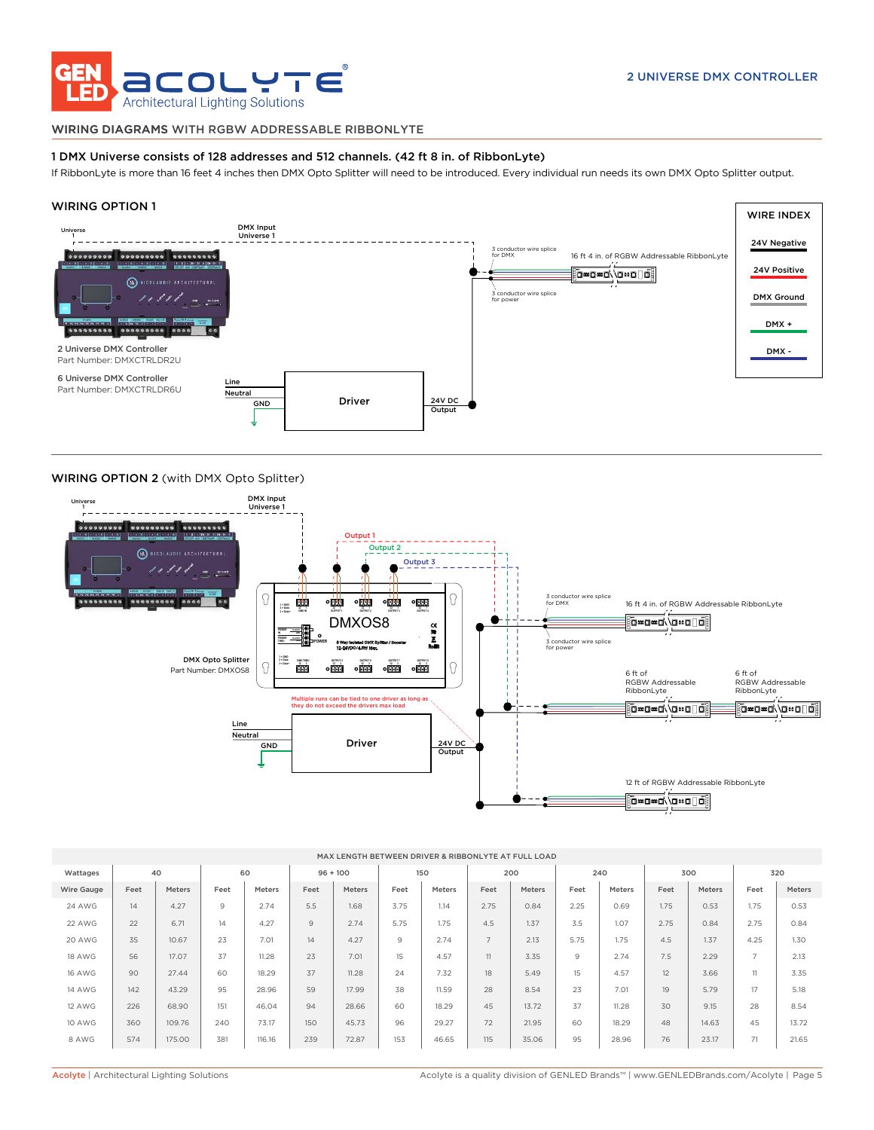

#### WIRING DIAGRAMS WITH RGBW ADDRESSABLE RIBBONLYTE

#### 1 DMX Universe consists of 128 addresses and 512 channels. (42 ft 8 in. of RibbonLyte)

If RibbonLyte is more than 16 feet 4 inches then DMX Opto Splitter will need to be introduced. Every individual run needs its own DMX Opto Splitter output.

#### WIRING OPTION 1



#### WIRING OPTION 2 (with DMX Opto Splitter)



| MAX LENGTH BETWEEN DRIVER & RIBBONLYTE AT FULL LOAD |      |        |      |        |            |        |      |        |                |        |      |        |      |        |                |               |
|-----------------------------------------------------|------|--------|------|--------|------------|--------|------|--------|----------------|--------|------|--------|------|--------|----------------|---------------|
| Wattages                                            | 40   |        | 60   |        | $96 + 100$ |        | 150  |        | 200            |        | 240  |        | 300  |        | 320            |               |
| Wire Gauge                                          | Feet | Meters | Feet | Meters | Feet       | Meters | Feet | Meters | Feet           | Meters | Feet | Meters | Feet | Meters | Feet           | <b>Meters</b> |
| <b>24 AWG</b>                                       | 14   | 4.27   | 9    | 2.74   | 5.5        | 1.68   | 3.75 | 1.14   | 2.75           | 0.84   | 2.25 | 0.69   | 1.75 | 0.53   | 1.75           | 0.53          |
| 22 AWG                                              | 22   | 6.71   | 14   | 4.27   | 9          | 2.74   | 5.75 | 1.75   | 4.5            | 1.37   | 3.5  | 1.07   | 2.75 | 0.84   | 2.75           | 0.84          |
| 20 AWG                                              | 35   | 10.67  | 23   | 7.01   | 14         | 4.27   | 9    | 2.74   | $\overline{7}$ | 2.13   | 5.75 | 1.75   | 4.5  | 1.37   | 4.25           | 1.30          |
| <b>18 AWG</b>                                       | 56   | 17.07  | 37   | 11.28  | 23         | 7.01   | 15   | 4.57   | 11             | 3.35   | 9    | 2.74   | 7.5  | 2.29   | $\overline{7}$ | 2.13          |
| <b>16 AWG</b>                                       | 90   | 27.44  | 60   | 18.29  | 37         | 11.28  | 24   | 7.32   | 18             | 5.49   | 15   | 4.57   | 12   | 3.66   | 11             | 3.35          |
| <b>14 AWG</b>                                       | 142  | 43.29  | 95   | 28.96  | 59         | 17.99  | 38   | 11.59  | 28             | 8.54   | 23   | 7.01   | 19   | 5.79   | 17             | 5.18          |
| 12 AWG                                              | 226  | 68.90  | 151  | 46.04  | 94         | 28.66  | 60   | 18.29  | 45             | 13.72  | 37   | 11.28  | 30   | 9.15   | 28             | 8.54          |
| 10 AWG                                              | 360  | 109.76 | 240  | 73.17  | 150        | 45.73  | 96   | 29.27  | 72             | 21.95  | 60   | 18.29  | 48   | 14.63  | 45             | 13.72         |
| 8 AWG                                               | 574  | 175.00 | 381  | 116.16 | 239        | 72.87  | 153  | 46.65  | 115            | 35.06  | 95   | 28.96  | 76   | 23.17  | 71             | 21.65         |